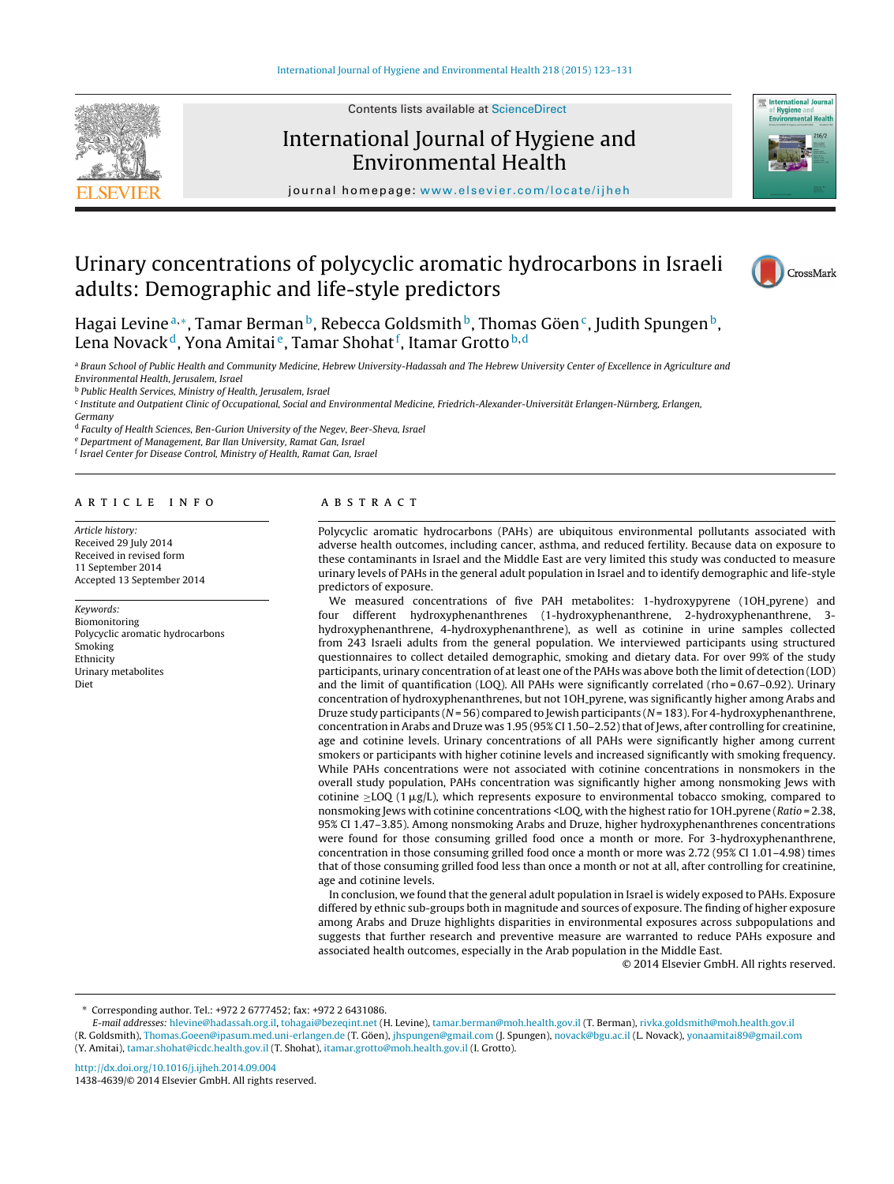

Contents lists available at [ScienceDirect](http://www.sciencedirect.com/science/journal/14384639)

# International Journal of Hygiene and Environmental Health



iournal homepage: [www.elsevier.com/locate/ijheh](http://www.elsevier.com/locate/ijheh)

# Urinary concentrations of polycyclic aromatic hydrocarbons in Israeli adults: Demographic and life-style predictors



Hagai Levine<sup>a,∗</sup>, Tamar Berman<sup>b</sup>, Rebecca Goldsmith<sup>b</sup>, Thomas Göen<sup>c</sup>, Judith Spungen<sup>b</sup>, Lena Novack $^{\tt d}$ , Yona Amitai $^{\tt e}$ , Tamar Shohat $^{\tt f}$ , Itamar Grotto $^{\tt b, d}$ 

a Braun School of Public Health and Community Medicine, Hebrew University-Hadassah and The Hebrew University Center of Excellence in Agriculture and Environmental Health, Jerusalem, Israel

<sup>b</sup> Public Health Services, Ministry of Health, Jerusalem, Israel

<sup>c</sup> Institute and Outpatient Clinic of Occupational, Social and Environmental Medicine, Friedrich-Alexander-Universität Erlangen-Nürnberg, Erlangen,

Germany

<sup>d</sup> Faculty of Health Sciences, Ben-Gurion University of the Negev, Beer-Sheva, Israel

<sup>e</sup> Department of Management, Bar Ilan University, Ramat Gan, Israel

<sup>f</sup> Israel Center for Disease Control, Ministry of Health, Ramat Gan, Israel

#### a r t i c l e i n f o

Article history: Received 29 July 2014 Received in revised form 11 September 2014 Accepted 13 September 2014

#### Keywords: Biomonitoring Polycyclic aromatic hydrocarbons Smoking Ethnicity Urinary metabolites Diet

## A B S T R A C T

Polycyclic aromatic hydrocarbons (PAHs) are ubiquitous environmental pollutants associated with adverse health outcomes, including cancer, asthma, and reduced fertility. Because data on exposure to these contaminants in Israel and the Middle East are very limited this study was conducted to measure urinary levels of PAHs in the general adult population in Israel and to identify demographic and life-style predictors of exposure.

We measured concentrations of five PAH metabolites: 1-hydroxypyrene (1OH pyrene) and four different hydroxyphenanthrenes (1-hydroxyphenanthrene, 2-hydroxyphenanthrene, 3 hydroxyphenanthrene, 4-hydroxyphenanthrene), as well as cotinine in urine samples collected from 243 Israeli adults from the general population. We interviewed participants using structured questionnaires to collect detailed demographic, smoking and dietary data. For over 99% of the study participants, urinary concentration of atleast one ofthe PAHs was above both the limit of detection (LOD) and the limit of quantification (LOQ). All PAHs were significantly correlated (rho =  $0.67-0.92$ ). Urinary concentration of hydroxyphenanthrenes, but not 1OH pyrene, was significantly higher among Arabs and Druze study participants ( $N = 56$ ) compared to Jewish participants ( $N = 183$ ). For 4-hydroxyphenanthrene, concentration in Arabs and Druze was 1.95 (95% CI 1.50-2.52) that of Jews, after controlling for creatinine, age and cotinine levels. Urinary concentrations of all PAHs were significantly higher among current smokers or participants with higher cotinine levels and increased significantly with smoking frequency. While PAHs concentrations were not associated with cotinine concentrations in nonsmokers in the overall study population, PAHs concentration was significantly higher among nonsmoking Jews with cotinine  $\geq$ LOQ (1  $\mu$ g/L), which represents exposure to environmental tobacco smoking, compared to nonsmoking Jews with cotinine concentrations <LOQ, with the highest ratio for 1OH pyrene (Ratio = 2.38, 95% CI 1.47–3.85). Among nonsmoking Arabs and Druze, higher hydroxyphenanthrenes concentrations were found for those consuming grilled food once a month or more. For 3-hydroxyphenanthrene, concentration in those consuming grilled food once a month or more was 2.72 (95% CI 1.01–4.98) times that of those consuming grilled food less than once a month or not at all, after controlling for creatinine, age and cotinine levels.

In conclusion, we found that the general adult population in Israel is widely exposed to PAHs. Exposure differed by ethnic sub-groups both in magnitude and sources of exposure. The finding of higher exposure among Arabs and Druze highlights disparities in environmental exposures across subpopulations and suggests that further research and preventive measure are warranted to reduce PAHs exposure and associated health outcomes, especially in the Arab population in the Middle East.

© 2014 Elsevier GmbH. All rights reserved.

E-mail addresses: [hlevine@hadassah.org.il,](mailto:hlevine@hadassah.org.il) [tohagai@bezeqint.net](mailto:tohagai@bezeqint.net) (H. Levine), [tamar.berman@moh.health.gov.il](mailto:tamar.berman@moh.health.gov.il) (T. Berman), [rivka.goldsmith@moh.health.gov.il](mailto:rivka.goldsmith@moh.health.gov.il) (R. Goldsmith), [Thomas.Goeen@ipasum.med.uni-erlangen.de](mailto:Thomas.Goeen@ipasum.med.uni-erlangen.de) (T. Göen), [jhspungen@gmail.com](mailto:jhspungen@gmail.com) (J. Spungen), [novack@bgu.ac.il](mailto:novack@bgu.ac.il) (L. Novack), [yonaamitai89@gmail.com](mailto:yonaamitai89@gmail.com) (Y. Amitai), [tamar.shohat@icdc.health.gov.il](mailto:tamar.shohat@icdc.health.gov.il) (T. Shohat), [itamar.grotto@moh.health.gov.il](mailto:itamar.grotto@moh.health.gov.il) (I. Grotto).

<sup>∗</sup> Corresponding author. Tel.: +972 2 6777452; fax: +972 2 6431086.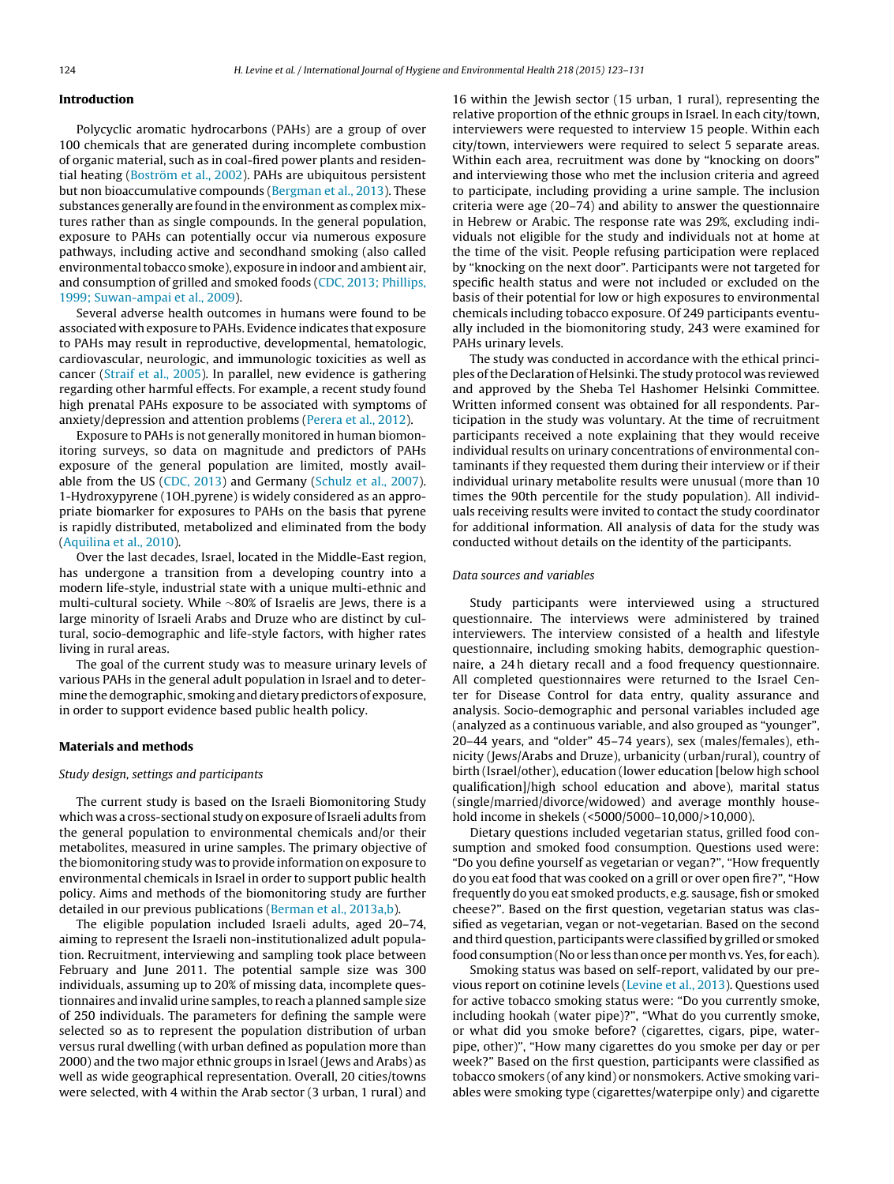## **Introduction**

Polycyclic aromatic hydrocarbons (PAHs) are a group of over 100 chemicals that are generated during incomplete combustion of organic material, such as in coal-fired power plants and residential heating ([Boström](#page-8-0) et [al.,](#page-8-0) [2002\).](#page-8-0) PAHs are ubiquitous persistent but non bioaccumulative compounds ([Bergman](#page-8-0) et [al.,](#page-8-0) [2013\).](#page-8-0) These substances generally are found in the environment as complex mixtures rather than as single compounds. In the general population, exposure to PAHs can potentially occur via numerous exposure pathways, including active and secondhand smoking (also called environmental tobacco smoke), exposure in indoor and ambient air, and consumption of grilled and smoked foods ([CDC,](#page-8-0) [2013;](#page-8-0) [Phillips,](#page-8-0) [1999;](#page-8-0) [Suwan-ampai](#page-8-0) et [al.,](#page-8-0) [2009\).](#page-8-0)

Several adverse health outcomes in humans were found to be associated with exposure to PAHs. Evidence indicates that exposure to PAHs may result in reproductive, developmental, hematologic, cardiovascular, neurologic, and immunologic toxicities as well as cancer ([Straif](#page-8-0) et [al.,](#page-8-0) [2005\).](#page-8-0) In parallel, new evidence is gathering regarding other harmful effects. For example, a recent study found high prenatal PAHs exposure to be associated with symptoms of anxiety/depression and attention problems ([Perera](#page-8-0) et [al.,](#page-8-0) [2012\).](#page-8-0)

Exposure to PAHs is not generally monitored in human biomonitoring surveys, so data on magnitude and predictors of PAHs exposure of the general population are limited, mostly available from the US ([CDC,](#page-8-0) [2013\)](#page-8-0) and Germany ([Schulz](#page-8-0) et [al.,](#page-8-0) [2007\).](#page-8-0) 1-Hydroxypyrene (1OH pyrene) is widely considered as an appropriate biomarker for exposures to PAHs on the basis that pyrene is rapidly distributed, metabolized and eliminated from the body ([Aquilina](#page-8-0) et [al.,](#page-8-0) [2010\).](#page-8-0)

Over the last decades, Israel, located in the Middle-East region, has undergone a transition from a developing country into a modern life-style, industrial state with a unique multi-ethnic and multi-cultural society. While ∼80% of Israelis are Jews, there is a large minority of Israeli Arabs and Druze who are distinct by cultural, socio-demographic and life-style factors, with higher rates living in rural areas.

The goal of the current study was to measure urinary levels of various PAHs in the general adult population in Israel and to determine the demographic, smoking and dietary predictors of exposure, in order to support evidence based public health policy.

# **Materials and methods**

# Study design, settings and participants

The current study is based on the Israeli Biomonitoring Study which was a cross-sectional study on exposure of Israeli adults from the general population to environmental chemicals and/or their metabolites, measured in urine samples. The primary objective of the biomonitoring study was to provide information on exposure to environmental chemicals in Israel in order to support public health policy. Aims and methods of the biomonitoring study are further detailed in our previous publications ([Berman](#page-8-0) et [al.,](#page-8-0) [2013a,b\).](#page-8-0)

The eligible population included Israeli adults, aged 20–74, aiming to represent the Israeli non-institutionalized adult population. Recruitment, interviewing and sampling took place between February and June 2011. The potential sample size was 300 individuals, assuming up to 20% of missing data, incomplete questionnaires and invalid urine samples, to reach a planned sample size of 250 individuals. The parameters for defining the sample were selected so as to represent the population distribution of urban versus rural dwelling (with urban defined as population more than 2000) and the two major ethnic groups in Israel (Jews and Arabs) as well as wide geographical representation. Overall, 20 cities/towns were selected, with 4 within the Arab sector (3 urban, 1 rural) and

16 within the Jewish sector (15 urban, 1 rural), representing the relative proportion of the ethnic groups in Israel. In each city/town, interviewers were requested to interview 15 people. Within each city/town, interviewers were required to select 5 separate areas. Within each area, recruitment was done by "knocking on doors" and interviewing those who met the inclusion criteria and agreed to participate, including providing a urine sample. The inclusion criteria were age (20–74) and ability to answer the questionnaire in Hebrew or Arabic. The response rate was 29%, excluding individuals not eligible for the study and individuals not at home at the time of the visit. People refusing participation were replaced by "knocking on the next door". Participants were not targeted for specific health status and were not included or excluded on the basis of their potential for low or high exposures to environmental chemicals including tobacco exposure. Of 249 participants eventually included in the biomonitoring study, 243 were examined for PAHs urinary levels.

The study was conducted in accordance with the ethical principles of the Declaration of Helsinki. The study protocol was reviewed and approved by the Sheba Tel Hashomer Helsinki Committee. Written informed consent was obtained for all respondents. Participation in the study was voluntary. At the time of recruitment participants received a note explaining that they would receive individual results on urinary concentrations of environmental contaminants if they requested them during their interview or if their individual urinary metabolite results were unusual (more than 10 times the 90th percentile for the study population). All individuals receiving results were invited to contact the study coordinator for additional information. All analysis of data for the study was conducted without details on the identity of the participants.

## Data sources and variables

Study participants were interviewed using a structured questionnaire. The interviews were administered by trained interviewers. The interview consisted of a health and lifestyle questionnaire, including smoking habits, demographic questionnaire, a 24 h dietary recall and a food frequency questionnaire. All completed questionnaires were returned to the Israel Center for Disease Control for data entry, quality assurance and analysis. Socio-demographic and personal variables included age (analyzed as a continuous variable, and also grouped as "younger", 20–44 years, and "older" 45–74 years), sex (males/females), ethnicity (Jews/Arabs and Druze), urbanicity (urban/rural), country of birth (Israel/other), education (lower education [below high school qualification]/high school education and above), marital status (single/married/divorce/widowed) and average monthly household income in shekels (<5000/5000–10,000/>10,000).

Dietary questions included vegetarian status, grilled food consumption and smoked food consumption. Questions used were: "Do you define yourself as vegetarian or vegan?", "How frequently do you eat food that was cooked on a grill or over open fire?", "How frequently do you eat smoked products, e.g. sausage, fish or smoked cheese?". Based on the first question, vegetarian status was classified as vegetarian, vegan or not-vegetarian. Based on the second and third question, participants were classified by grilled or smoked food consumption (No or less than once per month vs. Yes, for each).

Smoking status was based on self-report, validated by our previous report on cotinine levels ([Levine](#page-8-0) et [al.,](#page-8-0) [2013\).](#page-8-0) Questions used for active tobacco smoking status were: "Do you currently smoke, including hookah (water pipe)?", "What do you currently smoke, or what did you smoke before? (cigarettes, cigars, pipe, waterpipe, other)", "How many cigarettes do you smoke per day or per week?" Based on the first question, participants were classified as tobacco smokers (of any kind) or nonsmokers. Active smoking variables were smoking type (cigarettes/waterpipe only) and cigarette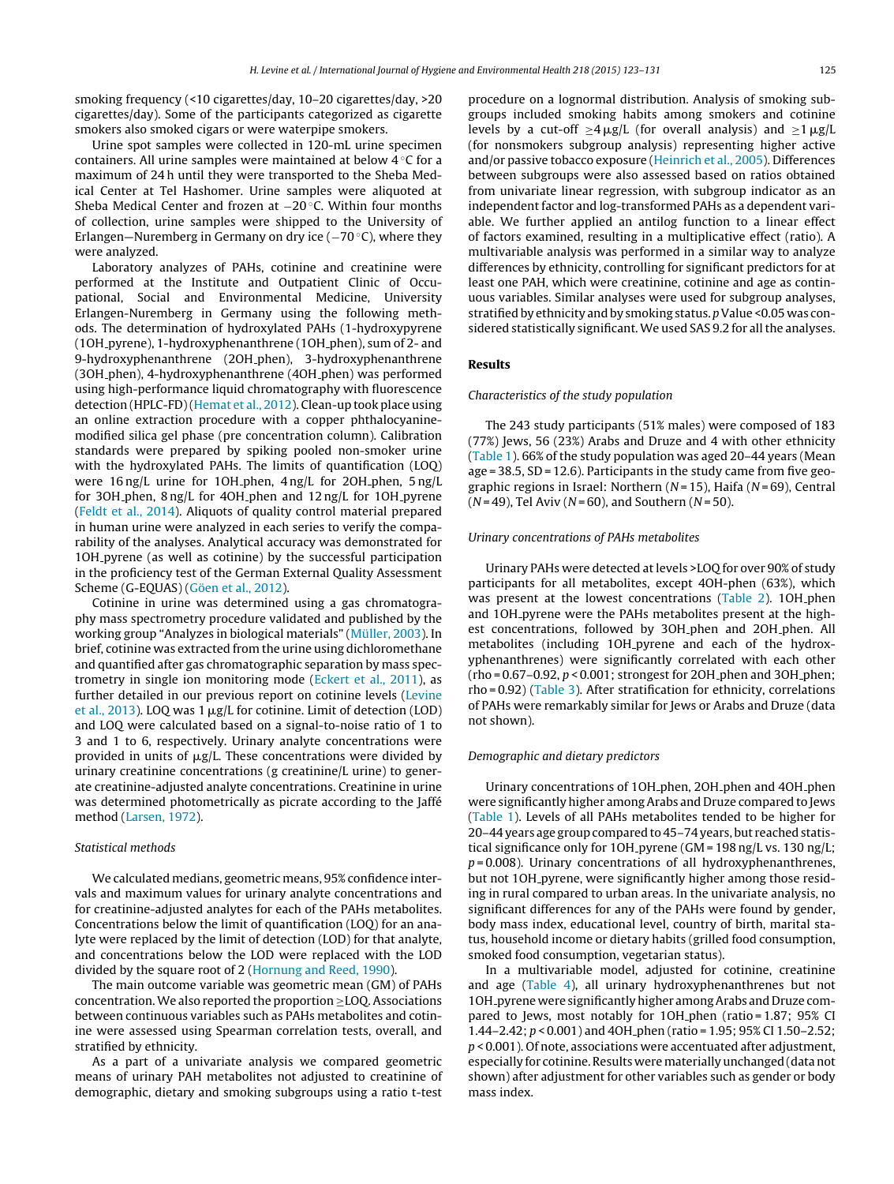smoking frequency (<10 cigarettes/day, 10–20 cigarettes/day, >20 cigarettes/day). Some of the participants categorized as cigarette smokers also smoked cigars or were waterpipe smokers.

Urine spot samples were collected in 120-mL urine specimen containers. All urine samples were maintained at below 4 ◦C for a maximum of 24 h until they were transported to the Sheba Medical Center at Tel Hashomer. Urine samples were aliquoted at Sheba Medical Center and frozen at −20 ◦C. Within four months of collection, urine samples were shipped to the University of Erlangen—Nuremberg in Germany on dry ice (−70 °C), where they were analyzed.

Laboratory analyzes of PAHs, cotinine and creatinine were performed at the Institute and Outpatient Clinic of Occupational, Social and Environmental Medicine, University Erlangen-Nuremberg in Germany using the following methods. The determination of hydroxylated PAHs (1-hydroxypyrene (1OH pyrene), 1-hydroxyphenanthrene (1OH phen), sum of 2- and 9-hydroxyphenanthrene (2OH phen), 3-hydroxyphenanthrene (3OH phen), 4-hydroxyphenanthrene (4OH phen) was performed using high-performance liquid chromatography with fluorescence detection (HPLC-FD)[\(Hemat](#page-8-0) et [al.,](#page-8-0) [2012\).](#page-8-0) Clean-up took place using an online extraction procedure with a copper phthalocyaninemodified silica gel phase (pre concentration column). Calibration standards were prepared by spiking pooled non-smoker urine with the hydroxylated PAHs. The limits of quantification (LOQ) were 16 ng/L urine for 1OH phen, 4 ng/L for 2OH phen, 5 ng/L for 3OH phen, 8 ng/L for 4OH phen and 12 ng/L for 1OH pyrene ([Feldt](#page-8-0) et [al.,](#page-8-0) [2014\).](#page-8-0) Aliquots of quality control material prepared in human urine were analyzed in each series to verify the comparability of the analyses. Analytical accuracy was demonstrated for 1OH pyrene (as well as cotinine) by the successful participation in the proficiency test of the German External Quality Assessment Scheme (G-EQUAS) [\(Göen](#page-8-0) et [al.,](#page-8-0) [2012\).](#page-8-0)

Cotinine in urine was determined using a gas chromatography mass spectrometry procedure validated and published by the working group "Analyzes in biological materials" ([Müller,](#page-8-0) [2003\).](#page-8-0) In brief, cotinine was extracted from the urine using dichloromethane and quantified after gas chromatographic separation by mass spectrometry in single ion monitoring mode ([Eckert](#page-8-0) et [al.,](#page-8-0) [2011\),](#page-8-0) as further detailed in our previous report on cotinine levels [\(Levine](#page-8-0) et [al.,](#page-8-0) [2013\).](#page-8-0) LOQ was 1  $\mu$ g/L for cotinine. Limit of detection (LOD) and LOQ were calculated based on a signal-to-noise ratio of 1 to 3 and 1 to 6, respectively. Urinary analyte concentrations were provided in units of  $\mu$ g/L. These concentrations were divided by urinary creatinine concentrations (g creatinine/L urine) to generate creatinine-adjusted analyte concentrations. Creatinine in urine was determined photometrically as picrate according to the Jaffé method ([Larsen,](#page-8-0) [1972\).](#page-8-0)

# Statistical methods

We calculated medians, geometric means, 95% confidence intervals and maximum values for urinary analyte concentrations and for creatinine-adjusted analytes for each of the PAHs metabolites. Concentrations below the limit of quantification (LOQ) for an analyte were replaced by the limit of detection (LOD) for that analyte, and concentrations below the LOD were replaced with the LOD divided by the square root of 2 [\(Hornung](#page-8-0) [and](#page-8-0) [Reed,](#page-8-0) [1990\).](#page-8-0)

The main outcome variable was geometric mean (GM) of PAHs concentration.We also reported the proportion ≥LOQ. Associations between continuous variables such as PAHs metabolites and cotinine were assessed using Spearman correlation tests, overall, and stratified by ethnicity.

As a part of a univariate analysis we compared geometric means of urinary PAH metabolites not adjusted to creatinine of demographic, dietary and smoking subgroups using a ratio t-test procedure on a lognormal distribution. Analysis of smoking subgroups included smoking habits among smokers and cotinine levels by a cut-off  $\geq 4 \mu$ g/L (for overall analysis) and  $\geq 1 \mu$ g/L (for nonsmokers subgroup analysis) representing higher active and/or passive tobacco exposure [\(Heinrich](#page-8-0) et [al.,](#page-8-0) [2005\).](#page-8-0) Differences between subgroups were also assessed based on ratios obtained from univariate linear regression, with subgroup indicator as an independent factor and log-transformed PAHs as a dependent variable. We further applied an antilog function to a linear effect of factors examined, resulting in a multiplicative effect (ratio). A multivariable analysis was performed in a similar way to analyze differences by ethnicity, controlling for significant predictors for at least one PAH, which were creatinine, cotinine and age as continuous variables. Similar analyses were used for subgroup analyses, stratified by ethnicity and by smoking status. p Value <0.05 was considered statistically significant. We used SAS 9.2 for all the analyses.

# **Results**

#### Characteristics of the study population

The 243 study participants (51% males) were composed of 183 (77%) Jews, 56 (23%) Arabs and Druze and 4 with other ethnicity [\(Table](#page-3-0) 1). 66% of the study population was aged 20–44 years (Mean age = 38.5, SD = 12.6). Participants in the study came from five geographic regions in Israel: Northern ( $N = 15$ ), Haifa ( $N = 69$ ), Central  $(N = 49)$ , Tel Aviv ( $N = 60$ ), and Southern ( $N = 50$ ).

## Urinary concentrations of PAHs metabolites

Urinary PAHs were detected at levels >LOQ for over 90% of study participants for all metabolites, except 4OH-phen (63%), which was present at the lowest concentrations [\(Table](#page-4-0) 2). 10H\_phen and 10H pyrene were the PAHs metabolites present at the highest concentrations, followed by 3OH phen and 2OH phen. All metabolites (including 1OH pyrene and each of the hydroxyphenanthrenes) were significantly correlated with each other  $(rho = 0.67 - 0.92, p < 0.001$ ; strongest for 2OH<sub>-phen</sub> and 3OH<sub>-phen</sub>; rho = 0.92) ([Table](#page-4-0) 3). After stratification for ethnicity, correlations of PAHs were remarkably similar for Jews or Arabs and Druze (data not shown).

#### Demographic and dietary predictors

Urinary concentrations of 1OH phen, 2OH phen and 4OH phen were significantly higher amongArabs and Druze compared to Jews [\(Table](#page-3-0) 1). Levels of all PAHs metabolites tended to be higher for 20-44 years age group compared to 45-74 years, but reached statistical significance only for 1OH pyrene (GM = 198 ng/L vs. 130 ng/L;  $p = 0.008$ ). Urinary concentrations of all hydroxyphenanthrenes, but not 1OH pyrene, were significantly higher among those residing in rural compared to urban areas. In the univariate analysis, no significant differences for any of the PAHs were found by gender, body mass index, educational level, country of birth, marital status, household income or dietary habits (grilled food consumption, smoked food consumption, vegetarian status).

In a multivariable model, adjusted for cotinine, creatinine and age [\(Table](#page-5-0) 4), all urinary hydroxyphenanthrenes but not 1OH pyrene were significantlyhigher amongArabs and Druze compared to Jews, most notably for 1OH phen (ratio = 1.87; 95% CI 1.44–2.42; p < 0.001) and 4OH phen (ratio = 1.95; 95% CI 1.50–2.52;  $p$  < 0.001). Of note, associations were accentuated after adjustment, especially for cotinine. Results were materially unchanged (data not shown) after adjustment for other variables such as gender or body mass index.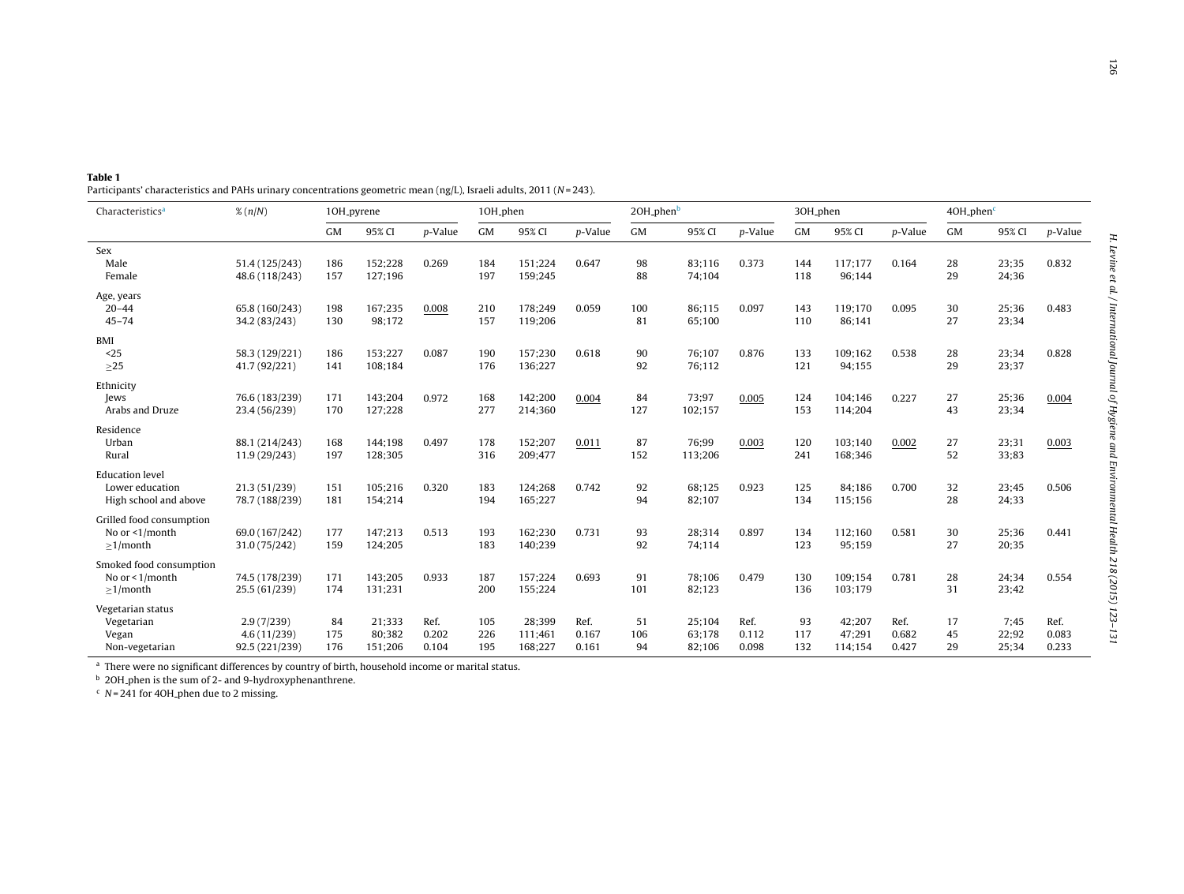<span id="page-3-0"></span>Participants' characteristics and PAHs urinary concentrations geometric mean (ng/L), Israeli adults, 2011 (N=243).

| Characteristics <sup>a</sup>                                       | $\%$ (n/N)                                  | 10H <sub>-pyrene</sub> |                             |                        | 10H_phen          |                              |                        | 20H <sub>-phenb</sub> |                            |                        | 30H <sub>-phen</sub> |                             |                        | $4OH-phenc$    |                        |                        |
|--------------------------------------------------------------------|---------------------------------------------|------------------------|-----------------------------|------------------------|-------------------|------------------------------|------------------------|-----------------------|----------------------------|------------------------|----------------------|-----------------------------|------------------------|----------------|------------------------|------------------------|
|                                                                    |                                             | <b>GM</b>              | 95% CI                      | p-Value                | <b>GM</b>         | 95% CI                       | p-Value                | GM                    | 95% CI                     | p-Value                | GM                   | 95% CI                      | p-Value                | GM             | 95% CI                 | p-Value                |
| Sex<br>Male<br>Female                                              | 51.4 (125/243)<br>48.6 (118/243)            | 186<br>157             | 152:228<br>127;196          | 0.269                  | 184<br>197        | 151:224<br>159;245           | 0.647                  | 98<br>88              | 83:116<br>74;104           | 0.373                  | 144<br>118           | 117:177<br>96;144           | 0.164                  | 28<br>29       | 23;35<br>24;36         | 0.832                  |
| Age, years<br>$20 - 44$<br>$45 - 74$                               | 65.8 (160/243)<br>34.2 (83/243)             | 198<br>130             | 167:235<br>98;172           | 0.008                  | 210<br>157        | 178:249<br>119;206           | 0.059                  | 100<br>81             | 86:115<br>65;100           | 0.097                  | 143<br>110           | 119:170<br>86;141           | 0.095                  | 30<br>27       | 25;36<br>23;34         | 0.483                  |
| BMI<br>$25$<br>$\geq$ 25                                           | 58.3 (129/221)<br>41.7 (92/221)             | 186<br>141             | 153;227<br>108;184          | 0.087                  | 190<br>176        | 157;230<br>136;227           | 0.618                  | 90<br>92              | 76;107<br>76:112           | 0.876                  | 133<br>121           | 109:162<br>94;155           | 0.538                  | 28<br>29       | 23;34<br>23;37         | 0.828                  |
| Ethnicity<br>Jews<br>Arabs and Druze                               | 76.6 (183/239)<br>23.4 (56/239)             | 171<br>170             | 143;204<br>127;228          | 0.972                  | 168<br>277        | 142;200<br>214;360           | 0.004                  | 84<br>127             | 73;97<br>102;157           | 0.005                  | 124<br>153           | 104;146<br>114;204          | 0.227                  | 27<br>43       | 25;36<br>23;34         | 0.004                  |
| Residence<br>Urban<br>Rural                                        | 88.1 (214/243)<br>11.9 (29/243)             | 168<br>197             | 144;198<br>128;305          | 0.497                  | 178<br>316        | 152;207<br>209;477           | 0.011                  | 87<br>152             | 76;99<br>113;206           | 0.003                  | 120<br>241           | 103;140<br>168;346          | 0.002                  | 27<br>52       | 23;31<br>33;83         | 0.003                  |
| <b>Education</b> level<br>Lower education<br>High school and above | 21.3 (51/239)<br>78.7 (188/239)             | 151<br>181             | 105;216<br>154;214          | 0.320                  | 183<br>194        | 124;268<br>165;227           | 0.742                  | 92<br>94              | 68;125<br>82;107           | 0.923                  | 125<br>134           | 84;186<br>115;156           | 0.700                  | 32<br>28       | 23;45<br>24;33         | 0.506                  |
| Grilled food consumption<br>No or <1/month<br>$>1/m$ onth          | 69.0 (167/242)<br>31.0 (75/242)             | 177<br>159             | 147;213<br>124;205          | 0.513                  | 193<br>183        | 162;230<br>140;239           | 0.731                  | 93<br>92              | 28;314<br>74;114           | 0.897                  | 134<br>123           | 112;160<br>95;159           | 0.581                  | 30<br>27       | 25;36<br>20;35         | 0.441                  |
| Smoked food consumption<br>No or $<$ 1/month<br>$>1/m$ onth        | 74.5 (178/239)<br>25.5 (61/239)             | 171<br>174             | 143:205<br>131;231          | 0.933                  | 187<br>200        | 157:224<br>155;224           | 0.693                  | 91<br>101             | 78;106<br>82;123           | 0.479                  | 130<br>136           | 109:154<br>103;179          | 0.781                  | 28<br>31       | 24;34<br>23;42         | 0.554                  |
| Vegetarian status<br>Vegetarian<br>Vegan<br>Non-vegetarian         | 2.9(7/239)<br>4.6(11/239)<br>92.5 (221/239) | 84<br>175<br>176       | 21:333<br>80;382<br>151;206 | Ref.<br>0.202<br>0.104 | 105<br>226<br>195 | 28;399<br>111;461<br>168;227 | Ref.<br>0.167<br>0.161 | 51<br>106<br>94       | 25;104<br>63;178<br>82;106 | Ref.<br>0.112<br>0.098 | 93<br>117<br>132     | 42;207<br>47;291<br>114;154 | Ref.<br>0.682<br>0.427 | 17<br>45<br>29 | 7:45<br>22;92<br>25;34 | Ref.<br>0.083<br>0.233 |

<sup>a</sup> There were no significant differences by country of birth, household income or marital status.<br><sup>b</sup> 20H<sub>-</sub>phen is the sum of 2- and 9-hydroxyphenanthrene.

 $c$  N = 241 for 40H phen due to 2 missing.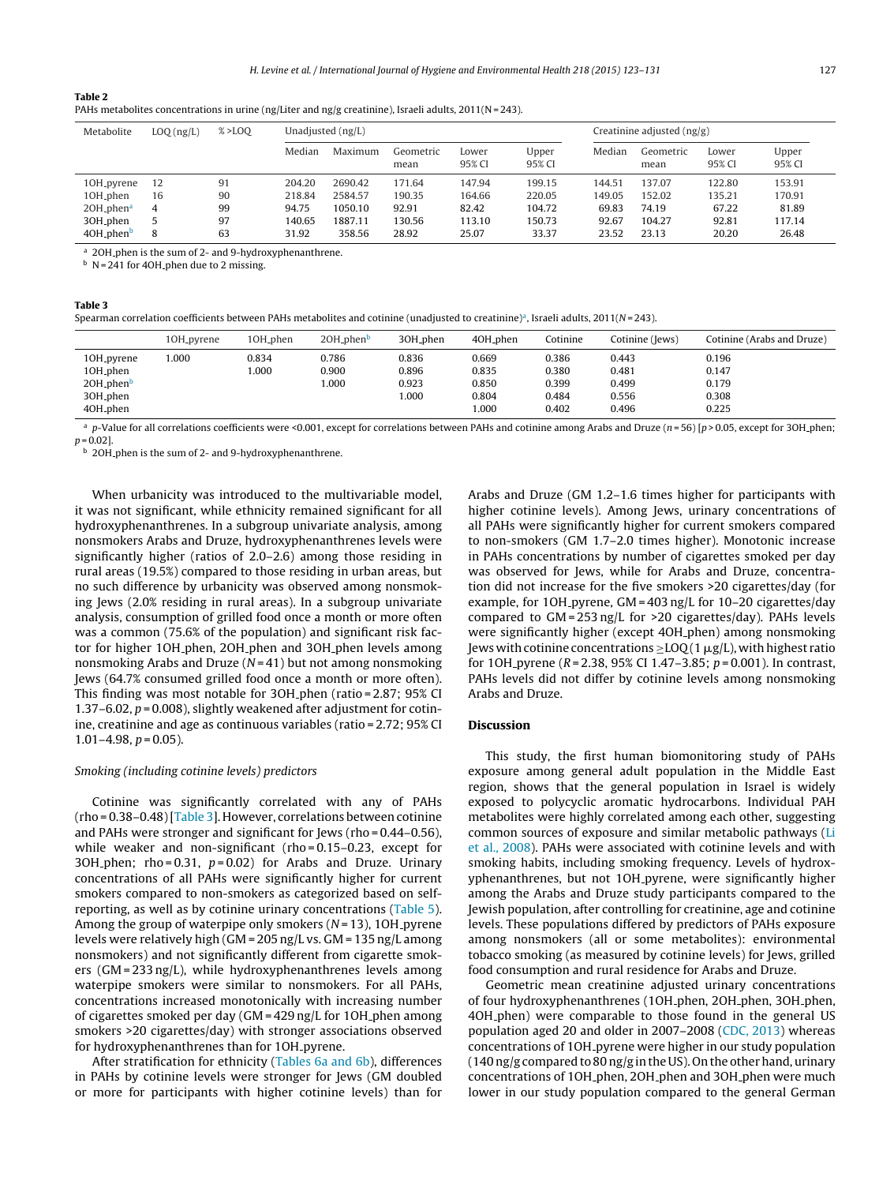#### <span id="page-4-0"></span>**Table 2**

| .                                                                                                     |  |
|-------------------------------------------------------------------------------------------------------|--|
| PAHs metabolites concentrations in urine (ng/Liter and ng/g creatinine), Israeli adults, 2011(N=243). |  |

| Metabolite                  | LOQ(ng/L) | $% >$ LOO |        | Unadjusted $(ng/L)$ |                   |                 |                 | Creatinine adjusted $\frac{ng}{g}$ |                   |                 |                 |  |
|-----------------------------|-----------|-----------|--------|---------------------|-------------------|-----------------|-----------------|------------------------------------|-------------------|-----------------|-----------------|--|
|                             |           |           | Median | Maximum             | Geometric<br>mean | Lower<br>95% CI | Upper<br>95% CI | Median                             | Geometric<br>mean | Lower<br>95% CI | Upper<br>95% CI |  |
| 10H <sub>-pyrene</sub>      | 12        | 91        | 204.20 | 2690.42             | 171.64            | 147.94          | 199.15          | 144.51                             | 137.07            | 122.80          | 153.91          |  |
| 10H <sub>-phen</sub>        | 16        | 90        | 218.84 | 2584.57             | 190.35            | 164.66          | 220.05          | 149.05                             | 152.02            | 135.21          | 170.91          |  |
| $2OH_{p}$ phen <sup>a</sup> | 4         | 99        | 94.75  | 1050.10             | 92.91             | 82.42           | 104.72          | 69.83                              | 74.19             | 67.22           | 81.89           |  |
| 30H_phen                    | 5         | 97        | 140.65 | 1887.11             | 130.56            | 113.10          | 150.73          | 92.67                              | 104.27            | 92.81           | 117.14          |  |
| 40H_phen <sup>b</sup>       | 8         | 63        | 31.92  | 358.56              | 28.92             | 25.07           | 33.37           | 23.52                              | 23.13             | 20.20           | 26.48           |  |

<sup>a</sup> 2OH<sub>-phen</sub> is the sum of 2- and 9-hydroxyphenanthrene.

 $\overrightarrow{b}$  N = 241 for 40H phen due to 2 missing.

# **Table 3**

| Spearman correlation coefficients between PAHs metabolites and cotinine (unadjusted to creatinine)ª, Israeli adults, 2011(N=243). |  |
|-----------------------------------------------------------------------------------------------------------------------------------|--|
|-----------------------------------------------------------------------------------------------------------------------------------|--|

|                                                                                                | 10H <sub>-pyrene</sub> | 10H <sub>-phen</sub> | 20H <sub>-phen</sub>    | 30H <sub>-phen</sub>             | 40H <sub>-phen</sub>                     | Cotinine                                  | Cotinine (Jews)                           | Cotinine (Arabs and Druze)                |
|------------------------------------------------------------------------------------------------|------------------------|----------------------|-------------------------|----------------------------------|------------------------------------------|-------------------------------------------|-------------------------------------------|-------------------------------------------|
| 10H <sub>-pyrene</sub><br>10H_phen<br>20H <sub>-phen</sub><br>30H <sub>-phen</sub><br>40H_phen | 1.000                  | 0.834<br>.000        | 0.786<br>0.900<br>000.1 | 0.836<br>0.896<br>0.923<br>1.000 | 0.669<br>0.835<br>0.850<br>0.804<br>.000 | 0.386<br>0.380<br>0.399<br>0.484<br>0.402 | 0.443<br>0.481<br>0.499<br>0.556<br>0.496 | 0.196<br>0.147<br>0.179<br>0.308<br>0.225 |

<sup>a</sup> p-Value for all correlations coefficients were <0.001, except for correlations between PAHs and cotinine among Arabs and Druze (n=56) [p > 0.05, except for 3OH phen;  $p = 0.02$ ].

<sup>b</sup> 2OH phen is the sum of 2- and 9-hydroxyphenanthrene.

When urbanicity was introduced to the multivariable model, it was not significant, while ethnicity remained significant for all hydroxyphenanthrenes. In a subgroup univariate analysis, among nonsmokers Arabs and Druze, hydroxyphenanthrenes levels were significantly higher (ratios of 2.0–2.6) among those residing in rural areas (19.5%) compared to those residing in urban areas, but no such difference by urbanicity was observed among nonsmoking Jews (2.0% residing in rural areas). In a subgroup univariate analysis, consumption of grilled food once a month or more often was a common (75.6% of the population) and significant risk factor for higher 1OH phen, 2OH phen and 3OH phen levels among nonsmoking Arabs and Druze  $(N=41)$  but not among nonsmoking Jews (64.7% consumed grilled food once a month or more often). This finding was most notable for 3OH phen (ratio = 2.87; 95% CI 1.37–6.02,  $p = 0.008$ ), slightly weakened after adjustment for cotinine, creatinine and age as continuous variables (ratio = 2.72; 95% CI  $1.01 - 4.98$ ,  $p = 0.05$ ).

#### Smoking (including cotinine levels) predictors

Cotinine was significantly correlated with any of PAHs (rho = 0.38–0.48)[Table 3]. However, correlations between cotinine and PAHs were stronger and significant for Jews (rho = 0.44–0.56), while weaker and non-significant (rho=0.15-0.23, except for 3OH phen; rho =  $0.31$ ,  $p = 0.02$ ) for Arabs and Druze. Urinary concentrations of all PAHs were significantly higher for current smokers compared to non-smokers as categorized based on selfreporting, as well as by cotinine urinary concentrations [\(Table](#page-5-0) 5). Among the group of waterpipe only smokers ( $N = 13$ ), 1OH pyrene levels were relatively high (GM = 205 ng/L vs. GM = 135 ng/L among nonsmokers) and not significantly different from cigarette smokers (GM = 233 ng/L), while hydroxyphenanthrenes levels among waterpipe smokers were similar to nonsmokers. For all PAHs, concentrations increased monotonically with increasing number of cigarettes smoked per day (GM = 429 ng/L for 1OH phen among smokers >20 cigarettes/day) with stronger associations observed for hydroxyphenanthrenes than for 1OH pyrene.

After stratification for ethnicity [\(Tables](#page-6-0) 6a and 6b), differences in PAHs by cotinine levels were stronger for Jews (GM doubled or more for participants with higher cotinine levels) than for Arabs and Druze (GM 1.2–1.6 times higher for participants with higher cotinine levels). Among Jews, urinary concentrations of all PAHs were significantly higher for current smokers compared to non-smokers (GM 1.7–2.0 times higher). Monotonic increase in PAHs concentrations by number of cigarettes smoked per day was observed for Jews, while for Arabs and Druze, concentration did not increase for the five smokers >20 cigarettes/day (for example, for 1OH pyrene, GM = 403 ng/L for 10-20 cigarettes/day compared to GM = 253 ng/L for >20 cigarettes/day). PAHs levels were significantly higher (except 4OH phen) among nonsmoking Jews with cotinine concentrations  $\geq$  LOQ (1  $\mu$ g/L), with highest ratio for 10H pyrene ( $R = 2.38$ , 95% CI 1.47–3.85;  $p = 0.001$ ). In contrast, PAHs levels did not differ by cotinine levels among nonsmoking Arabs and Druze.

#### **Discussion**

This study, the first human biomonitoring study of PAHs exposure among general adult population in the Middle East region, shows that the general population in Israel is widely exposed to polycyclic aromatic hydrocarbons. Individual PAH metabolites were highly correlated among each other, suggesting common sources of exposure and similar metabolic pathways [\(Li](#page-8-0) et [al.,](#page-8-0) [2008\).](#page-8-0) PAHs were associated with cotinine levels and with smoking habits, including smoking frequency. Levels of hydroxyphenanthrenes, but not 1OH<sub>-</sub>pyrene, were significantly higher among the Arabs and Druze study participants compared to the Jewish population, after controlling for creatinine, age and cotinine levels. These populations differed by predictors of PAHs exposure among nonsmokers (all or some metabolites): environmental tobacco smoking (as measured by cotinine levels) for Jews, grilled food consumption and rural residence for Arabs and Druze.

Geometric mean creatinine adjusted urinary concentrations of four hydroxyphenanthrenes (1OH phen, 2OH phen, 3OH phen, 4OH phen) were comparable to those found in the general US population aged 20 and older in 2007–2008 ([CDC,](#page-8-0) [2013\)](#page-8-0) whereas concentrations of 1OH pyrene were higher in our study population  $(140 \text{ ng/g}$  compared to 80 ng/g in the US). On the other hand, urinary concentrations of 1OH phen, 2OH phen and 3OH phen were much lower in our study population compared to the general German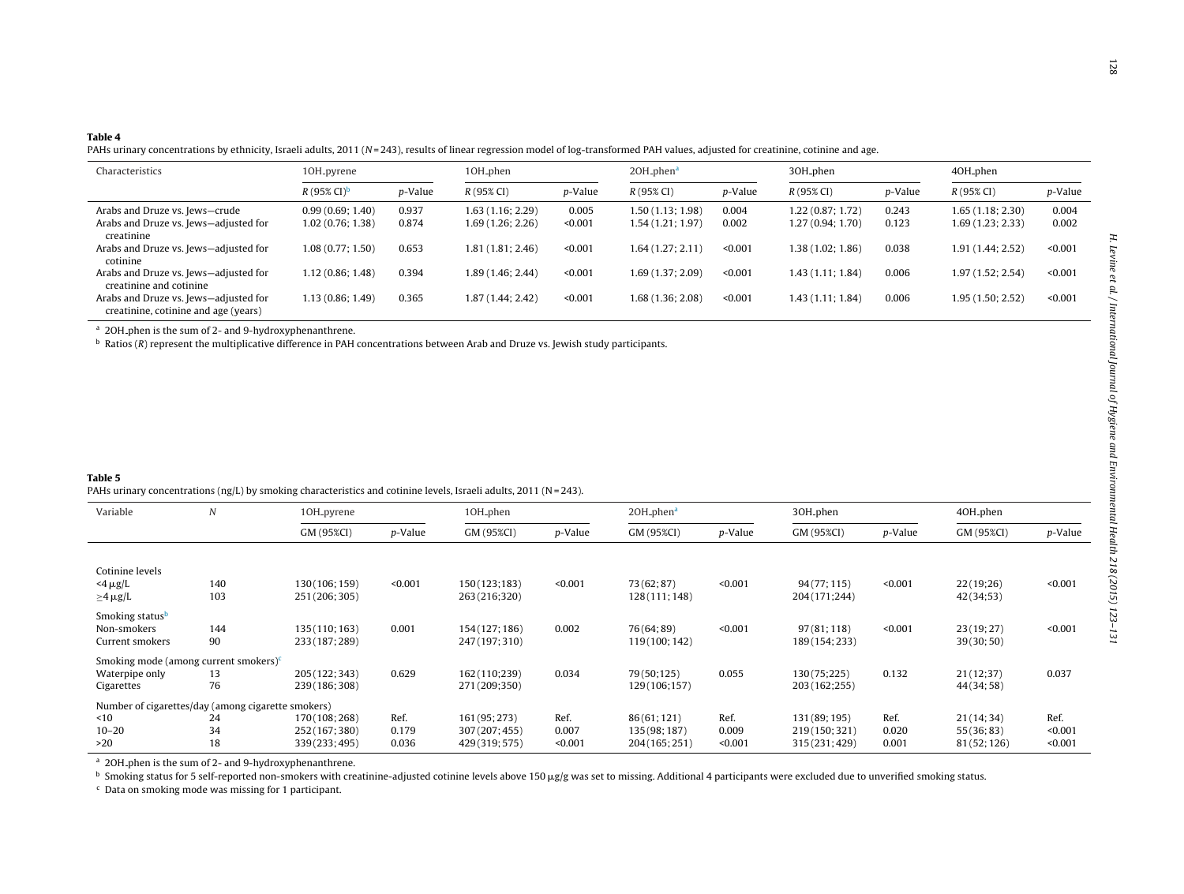#### <span id="page-5-0"></span>**Table 4**

PAHs urinary concentrations by ethnicity, Israeli adults, 2011 (N=243), results of linear regression model of log-transformed PAH values, adjusted for creatinine, cotinine and age.

| Characteristics                                                               | 10H_pyrene                      |         | 10H_phen             |                 | $2OH_{p}hena$        |         | 30H_phen          |         | 40H <sub>-phen</sub> |         |  |
|-------------------------------------------------------------------------------|---------------------------------|---------|----------------------|-----------------|----------------------|---------|-------------------|---------|----------------------|---------|--|
|                                                                               | $R(95\% \text{ CI})^{\text{b}}$ | p-Value | $R(95\% \text{ CI})$ | <i>p</i> -Value | $R(95\% \text{ CI})$ | p-Value | $R(95\% CI)$      | p-Value | $R(95\% \text{ CI})$ | p-Value |  |
| Arabs and Druze vs. Jews–crude                                                | 0.99(0.69; 1.40)                | 0.937   | 1.63(1.16; 2.29)     | 0.005           | 1.50 (1.13; 1.98)    | 0.004   | 1.22 (0.87; 1.72) | 0.243   | 1.65(1.18; 2.30)     | 0.004   |  |
| Arabs and Druze vs. Jews-adjusted for<br>creatinine                           | 1.02(0.76; 1.38)                | 0.874   | 1.69 (1.26; 2.26)    | < 0.001         | 1.54 (1.21; 1.97)    | 0.002   | 1.27 (0.94; 1.70) | 0.123   | 1.69(1.23; 2.33)     | 0.002   |  |
| Arabs and Druze vs. Jews-adjusted for<br>cotinine                             | 1.08(0.77; 1.50)                | 0.653   | 1.81 (1.81; 2.46)    | < 0.001         | 1.64 (1.27; 2.11)    | < 0.001 | 1.38 (1.02; 1.86) | 0.038   | 1.91 (1.44; 2.52)    | < 0.001 |  |
| Arabs and Druze vs. Jews-adjusted for<br>creatinine and cotinine              | 1.12(0.86; 1.48)                | 0.394   | 1.89 (1.46; 2.44)    | < 0.001         | 1.69 (1.37; 2.09)    | < 0.001 | 1.43 (1.11; 1.84) | 0.006   | 1.97 (1.52; 2.54)    | < 0.001 |  |
| Arabs and Druze vs. Jews-adjusted for<br>creatinine, cotinine and age (years) | 1.13 (0.86; 1.49)               | 0.365   | 1.87(1.44; 2.42)     | < 0.001         | 1.68 (1.36; 2.08)    | < 0.001 | 1.43 (1.11; 1.84) | 0.006   | 1.95 (1.50; 2.52)    | < 0.001 |  |

<sup>a</sup> 2OH<sub>-</sub>phen is the sum of 2- and 9-hydroxyphenanthrene.

 $\rm^b$  Ratios (R) represent the multiplicative difference in PAH concentrations between Arab and Druze vs. Jewish study participants.

#### **Table 5**

PAHs urinary concentrations (ng/L) by smoking characteristics and cotinine levels, Israeli adults, 2011 (N=243).

| Variable                                                                                                                                                                | $\overline{N}$ | 10H <sub>-pyrene</sub> |         | 10H_phen      |         | 20H_phen <sup>a</sup> |         | 30H_phen       |         | 40H_phen    |         |
|-------------------------------------------------------------------------------------------------------------------------------------------------------------------------|----------------|------------------------|---------|---------------|---------|-----------------------|---------|----------------|---------|-------------|---------|
| Cotinine levels<br>$<$ 4 µg/L<br>$\geq$ 4 $\mu$ g/L<br>Smoking status <sup>b</sup><br>Non-smokers<br>Current smokers<br>Smoking mode (among current smokers) $\epsilon$ |                | GM (95%CI)             | p-Value | GM (95%CI)    | p-Value | GM (95%CI)            | p-Value | GM (95%CI)     | p-Value | GM (95%CI)  | p-Value |
|                                                                                                                                                                         |                |                        |         |               |         |                       |         |                |         |             |         |
|                                                                                                                                                                         |                |                        |         |               |         |                       |         |                |         |             |         |
|                                                                                                                                                                         | 140            | 130 (106; 159)         | < 0.001 | 150(123;183)  | < 0.001 | 73(62;87)             | < 0.001 | 94(77;115)     | < 0.001 | 22(19;26)   | < 0.001 |
|                                                                                                                                                                         | 103            | 251 (206; 305)         |         | 263(216;320)  |         | 128(111; 148)         |         | 204(171;244)   |         | 42(34;53)   |         |
|                                                                                                                                                                         |                |                        |         |               |         |                       |         |                |         |             |         |
|                                                                                                                                                                         | 144            | 135 (110; 163)         | 0.001   | 154(127; 186) | 0.002   | 76(64; 89)            | < 0.001 | 97(81;118)     | < 0.001 | 23(19;27)   | < 0.001 |
|                                                                                                                                                                         | 90             | 233 (187; 289)         |         | 247(197;310)  |         | 119(100; 142)         |         | 189 (154; 233) |         | 39(30;50)   |         |
|                                                                                                                                                                         |                |                        |         |               |         |                       |         |                |         |             |         |
|                                                                                                                                                                         |                |                        |         |               |         |                       |         |                |         |             |         |
| Waterpipe only                                                                                                                                                          | 13             | 205 (122; 343)         | 0.629   | 162 (110;239) | 0.034   | 79(50;125)            | 0.055   | 130(75;225)    | 0.132   | 21(12;37)   | 0.037   |
| Cigarettes                                                                                                                                                              | 76             | 239 (186; 308)         |         | 271 (209;350) |         | 129 (106; 157)        |         | 203 (162;255)  |         | 44(34;58)   |         |
| Number of cigarettes/day (among cigarette smokers)                                                                                                                      |                |                        |         |               |         |                       |         |                |         |             |         |
| ~10                                                                                                                                                                     | 24             | 170 (108; 268)         | Ref.    | 161 (95; 273) | Ref.    | 86(61;121)            | Ref.    | 131 (89; 195)  | Ref.    | 21(14;34)   | Ref.    |
| $10 - 20$                                                                                                                                                               | 34             | 252 (167; 380)         | 0.179   | 307(207;455)  | 0.007   | 135 (98; 187)         | 0.009   | 219(150; 321)  | 0.020   | 55(36; 83)  | < 0.001 |
| >20                                                                                                                                                                     | 18             | 339(233;495)           | 0.036   | 429(319;575)  | < 0.001 | 204(165; 251)         | < 0.001 | 315(231;429)   | 0.001   | 81(52; 126) | < 0.001 |

<sup>a</sup> 2OH phen is the sum of 2- and 9-hydroxyphenanthrene.

**b** Smoking status for 5 self-reported non-smokers with creatinine-adjusted cotinine levels above 150  $\mu$ g/g was set to missing. Additional 4 participants were excluded due to unverified smoking status.

 $c$  Data on smoking mode was missing for 1 participant.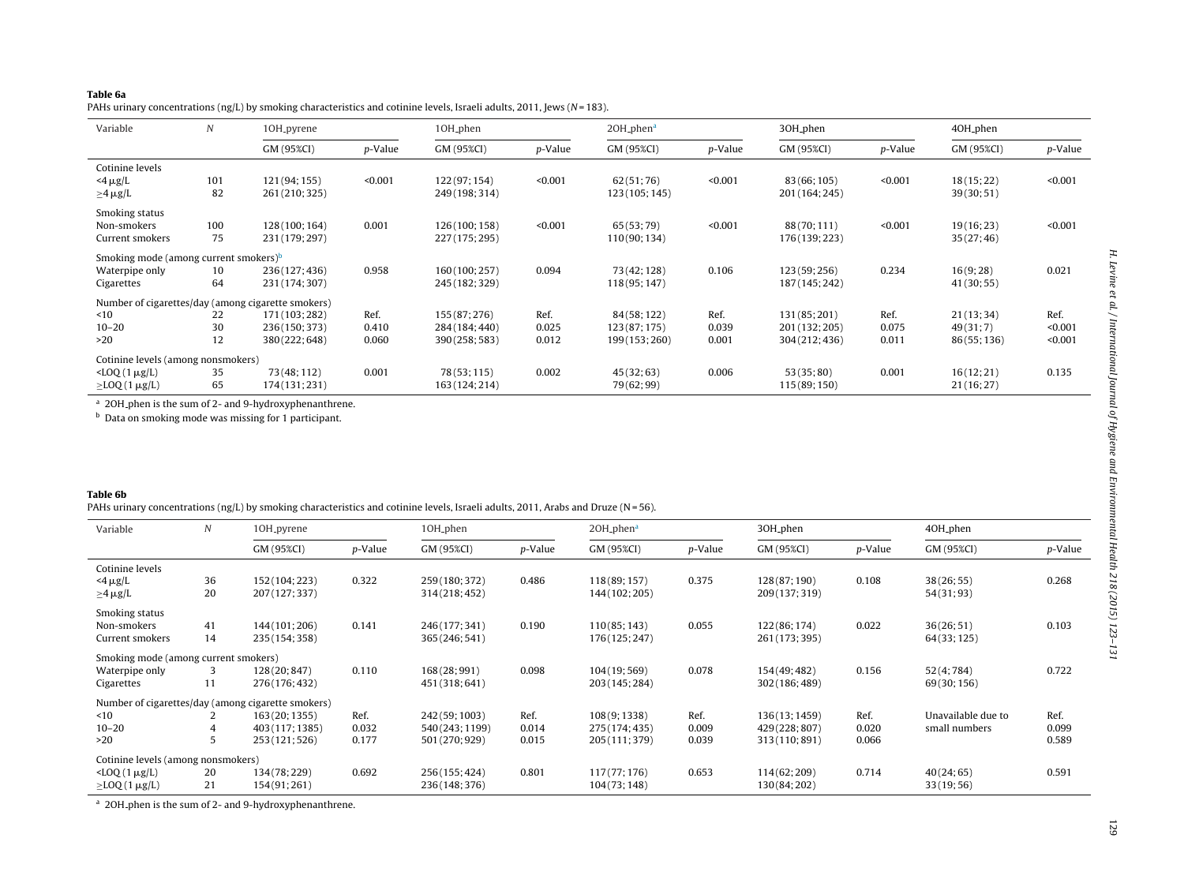#### <span id="page-6-0"></span>**Table 6a**

PAHs urinary concentrations (ng/L) by smoking characteristics and cotinine levels, Israeli adults, 2011, Jews (N <sup>=</sup> 183).

| Variable                                          | $\boldsymbol{N}$ | 10H_pyrene                                         |         | 10H <sub>-phen</sub> |         | 20H_phen <sup>a</sup> |         | 30H_phen       |         | 40H_phen    |         |
|---------------------------------------------------|------------------|----------------------------------------------------|---------|----------------------|---------|-----------------------|---------|----------------|---------|-------------|---------|
|                                                   |                  | GM (95%CI)                                         | p-Value | GM (95%CI)           | p-Value | GM (95%CI)            | p-Value | GM (95%CI)     | p-Value | GM (95%CI)  | p-Value |
| Cotinine levels                                   |                  |                                                    |         |                      |         |                       |         |                |         |             |         |
| $<$ 4 µg/L                                        | 101              | 121 (94; 155)                                      | < 0.001 | 122(97; 154)         | < 0.001 | 62(51;76)             | < 0.001 | 83 (66; 105)   | < 0.001 | 18(15;22)   | < 0.001 |
| $\geq$ 4 $\mu$ g/L                                | 82               | 261 (210; 325)                                     |         | 249 (198; 314)       |         | 123 (105; 145)        |         | 201 (164; 245) |         | 39(30;51)   |         |
| Smoking status                                    |                  |                                                    |         |                      |         |                       |         |                |         |             |         |
| Non-smokers                                       | 100              | 128 (100; 164)                                     | 0.001   | 126(100; 158)        | < 0.001 | 65(53;79)             | < 0.001 | 88(70;111)     | < 0.001 | 19(16; 23)  | < 0.001 |
| Current smokers                                   | 75               | 231 (179; 297)                                     |         | 227(175; 295)        |         | 110(90; 134)          |         | 176(139; 223)  |         | 35(27; 46)  |         |
| Smoking mode (among current smokers) <sup>b</sup> |                  |                                                    |         |                      |         |                       |         |                |         |             |         |
| Waterpipe only                                    | 10               | 236(127;436)                                       | 0.958   | 160(100;257)         | 0.094   | 73(42; 128)           | 0.106   | 123(59; 256)   | 0.234   | 16(9;28)    | 0.021   |
| Cigarettes                                        | 64               | 231 (174; 307)                                     |         | 245 (182; 329)       |         | 118 (95; 147)         |         | 187 (145; 242) |         | 41(30; 55)  |         |
|                                                   |                  | Number of cigarettes/day (among cigarette smokers) |         |                      |         |                       |         |                |         |             |         |
| ~10                                               | 22               | 171 (103; 282)                                     | Ref.    | 155(87; 276)         | Ref.    | 84(58; 122)           | Ref.    | 131 (85; 201)  | Ref.    | 21(13; 34)  | Ref.    |
| $10 - 20$                                         | 30               | 236(150; 373)                                      | 0.410   | 284(184; 440)        | 0.025   | 123(87;175)           | 0.039   | 201 (132; 205) | 0.075   | 49(31;7)    | < 0.001 |
| >20                                               | 12               | 380(222;648)                                       | 0.060   | 390(258;583)         | 0.012   | 199 (153; 260)        | 0.001   | 304 (212; 436) | 0.011   | 86(55; 136) | < 0.001 |
| Cotinine levels (among nonsmokers)                |                  |                                                    |         |                      |         |                       |         |                |         |             |         |
| $\angle$ LOQ $(1 \mu g/L)$                        | 35               | 73 (48; 112)                                       | 0.001   | 78(53; 115)          | 0.002   | 45(32;63)             | 0.006   | 53(35;80)      | 0.001   | 16(12; 21)  | 0.135   |
| $\geq$ LOQ(1 $\mu$ g/L)                           | 65               | 174(131;231)                                       |         | 163 (124; 214)       |         | 79(62;99)             |         | 115 (89; 150)  |         | 21(16; 27)  |         |

<sup>a</sup> 2OH phen is the sum of 2- and 9-hydroxyphenanthrene.

<sup>b</sup> Data on smoking mode was missing for 1 participant.

#### **Table 6b**

PAHs urinary concentrations (ng/L) by smoking characteristics and cotinine levels, Israeli adults, 2011, Arabs and Druze (N = 56).

| Variable                             | N  | 10H <sub>-pyrene</sub>                             |         | 10H_phen        |         | $2OH$ -phen <sup>a</sup> |         | 30H <sub>-phen</sub> |         | 40H_phen           |         |
|--------------------------------------|----|----------------------------------------------------|---------|-----------------|---------|--------------------------|---------|----------------------|---------|--------------------|---------|
|                                      |    | GM (95%CI)                                         | p-Value | GM (95%CI)      | p-Value | GM (95%CI)               | p-Value | GM (95%CI)           | p-Value | GM (95%CI)         | p-Value |
| Cotinine levels                      |    |                                                    |         |                 |         |                          |         |                      |         |                    |         |
| $<$ 4 $\mu$ g/L                      | 36 | 152 (104; 223)                                     | 0.322   | 259 (180; 372)  | 0.486   | 118 (89; 157)            | 0.375   | 128(87;190)          | 0.108   | 38(26; 55)         | 0.268   |
| $\geq$ 4 $\mu$ g/L                   | 20 | 207 (127; 337)                                     |         | 314(218; 452)   |         | 144 (102; 205)           |         | 209 (137; 319)       |         | 54(31;93)          |         |
| Smoking status                       |    |                                                    |         |                 |         |                          |         |                      |         |                    |         |
| Non-smokers                          | 41 | 144 (101; 206)                                     | 0.141   | 246(177; 341)   | 0.190   | 110(85; 143)             | 0.055   | 122(86; 174)         | 0.022   | 36(26; 51)         | 0.103   |
| Current smokers                      | 14 | 235 (154; 358)                                     |         | 365 (246; 541)  |         | 176(125; 247)            |         | 261 (173; 395)       |         | 64(33; 125)        |         |
| Smoking mode (among current smokers) |    |                                                    |         |                 |         |                          |         |                      |         |                    |         |
| Waterpipe only                       | 3  | 128 (20; 847)                                      | 0.110   | 168 (28; 991)   | 0.098   | 104(19; 569)             | 0.078   | 154(49; 482)         | 0.156   | 52(4;784)          | 0.722   |
| Cigarettes                           | 11 | 276(176; 432)                                      |         | 451 (318; 641)  |         | 203 (145; 284)           |         | 302 (186; 489)       |         | 69(30; 156)        |         |
|                                      |    | Number of cigarettes/day (among cigarette smokers) |         |                 |         |                          |         |                      |         |                    |         |
| ~10                                  |    | 163 (20; 1355)                                     | Ref.    | 242 (59; 1003)  | Ref.    | 108(9;1338)              | Ref.    | 136(13; 1459)        | Ref.    | Unavailable due to | Ref.    |
| $10 - 20$                            |    | 403 (117; 1385)                                    | 0.032   | 540 (243; 1199) | 0.014   | 275 (174; 435)           | 0.009   | 429 (228; 807)       | 0.020   | small numbers      | 0.099   |
| >20                                  | 5  | 253 (121; 526)                                     | 0.177   | 501 (270; 929)  | 0.015   | 205 (111; 379)           | 0.039   | 313 (110; 891)       | 0.066   |                    | 0.589   |
| Cotinine levels (among nonsmokers)   |    |                                                    |         |                 |         |                          |         |                      |         |                    |         |
| $\angle$ LOQ $(1 \mu g/L)$           | 20 | 134(78;229)                                        | 0.692   | 256(155; 424)   | 0.801   | 117(77;176)              | 0.653   | 114(62; 209)         | 0.714   | 40(24;65)          | 0.591   |
| $\geq$ LOQ(1 $\mu$ g/L)              | 21 | 154(91;261)                                        |         | 236(148; 376)   |         | 104(73; 148)             |         | 130(84; 202)         |         | 33(19;56)          |         |

<sup>a</sup> 2OH phen is the sum of 2- and 9-hydroxyphenanthrene.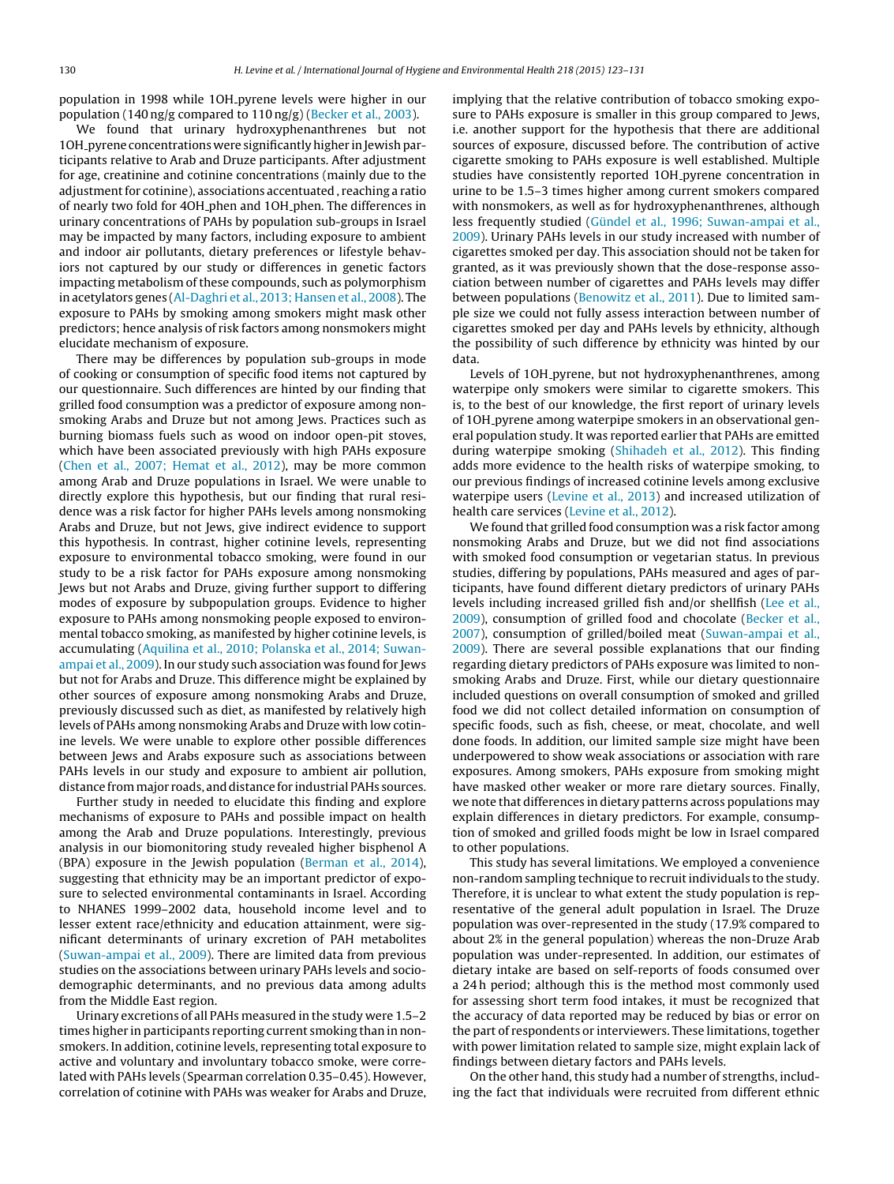population in 1998 while 1OH pyrene levels were higher in our population (140 ng/g compared to 110 ng/g) ([Becker](#page-8-0) et [al.,](#page-8-0) [2003\).](#page-8-0)

We found that urinary hydroxyphenanthrenes but not 1OH<sub>-pyrene</sub> concentrations were significantly higher in Jewish participants relative to Arab and Druze participants. After adjustment for age, creatinine and cotinine concentrations (mainly due to the adjustment for cotinine), associations accentuated, reaching a ratio of nearly two fold for 4OH phen and 1OH phen. The differences in urinary concentrations of PAHs by population sub-groups in Israel may be impacted by many factors, including exposure to ambient and indoor air pollutants, dietary preferences or lifestyle behaviors not captured by our study or differences in genetic factors impacting metabolism of these compounds, such as polymorphism in acetylators genes [\(Al-Daghri](#page-8-0) et [al.,](#page-8-0) [2013;](#page-8-0) [Hansen](#page-8-0) et [al.,](#page-8-0) [2008\).](#page-8-0) The exposure to PAHs by smoking among smokers might mask other predictors; hence analysis of risk factors among nonsmokers might elucidate mechanism of exposure.

There may be differences by population sub-groups in mode of cooking or consumption of specific food items not captured by our questionnaire. Such differences are hinted by our finding that grilled food consumption was a predictor of exposure among nonsmoking Arabs and Druze but not among Jews. Practices such as burning biomass fuels such as wood on indoor open-pit stoves, which have been associated previously with high PAHs exposure ([Chen](#page-8-0) et [al.,](#page-8-0) [2007;](#page-8-0) [Hemat](#page-8-0) et [al.,](#page-8-0) [2012\),](#page-8-0) may be more common among Arab and Druze populations in Israel. We were unable to directly explore this hypothesis, but our finding that rural residence was a risk factor for higher PAHs levels among nonsmoking Arabs and Druze, but not Jews, give indirect evidence to support this hypothesis. In contrast, higher cotinine levels, representing exposure to environmental tobacco smoking, were found in our study to be a risk factor for PAHs exposure among nonsmoking Jews but not Arabs and Druze, giving further support to differing modes of exposure by subpopulation groups. Evidence to higher exposure to PAHs among nonsmoking people exposed to environmental tobacco smoking, as manifested by higher cotinine levels, is accumulating [\(Aquilina](#page-8-0) et [al.,](#page-8-0) [2010;](#page-8-0) [Polanska](#page-8-0) et [al.,](#page-8-0) [2014;](#page-8-0) [Suwan](#page-8-0)ampai et [al.,](#page-8-0) [2009\).](#page-8-0) In our study such association was found for Jews but not for Arabs and Druze. This difference might be explained by other sources of exposure among nonsmoking Arabs and Druze, previously discussed such as diet, as manifested by relatively high levels of PAHs among nonsmoking Arabs and Druze with low cotinine levels. We were unable to explore other possible differences between Jews and Arabs exposure such as associations between PAHs levels in our study and exposure to ambient air pollution, distance from major roads, and distance for industrial PAHs sources.

Further study in needed to elucidate this finding and explore mechanisms of exposure to PAHs and possible impact on health among the Arab and Druze populations. Interestingly, previous analysis in our biomonitoring study revealed higher bisphenol A (BPA) exposure in the Jewish population [\(Berman](#page-8-0) et [al.,](#page-8-0) [2014\),](#page-8-0) suggesting that ethnicity may be an important predictor of exposure to selected environmental contaminants in Israel. According to NHANES 1999–2002 data, household income level and to lesser extent race/ethnicity and education attainment, were significant determinants of urinary excretion of PAH metabolites ([Suwan-ampai](#page-8-0) et [al.,](#page-8-0) [2009\).](#page-8-0) There are limited data from previous studies on the associations between urinary PAHs levels and sociodemographic determinants, and no previous data among adults from the Middle East region.

Urinary excretions of all PAHs measured in the study were 1.5–2 times higher in participants reporting current smoking than in nonsmokers. In addition, cotinine levels, representing total exposure to active and voluntary and involuntary tobacco smoke, were correlated with PAHs levels (Spearman correlation 0.35–0.45). However, correlation of cotinine with PAHs was weaker for Arabs and Druze,

implying that the relative contribution of tobacco smoking exposure to PAHs exposure is smaller in this group compared to Jews, i.e. another support for the hypothesis that there are additional sources of exposure, discussed before. The contribution of active cigarette smoking to PAHs exposure is well established. Multiple studies have consistently reported 1OH pyrene concentration in urine to be 1.5–3 times higher among current smokers compared with nonsmokers, as well as for hydroxyphenanthrenes, although less frequently studied [\(Gündel](#page-8-0) et [al.,](#page-8-0) [1996;](#page-8-0) [Suwan-ampai](#page-8-0) et [al.,](#page-8-0) [2009\).](#page-8-0) Urinary PAHs levels in our study increased with number of cigarettes smoked per day. This association should not be taken for granted, as it was previously shown that the dose-response association between number of cigarettes and PAHs levels may differ between populations ([Benowitz](#page-8-0) et [al.,](#page-8-0) [2011\).](#page-8-0) Due to limited sample size we could not fully assess interaction between number of cigarettes smoked per day and PAHs levels by ethnicity, although the possibility of such difference by ethnicity was hinted by our data.

Levels of 1OH pyrene, but not hydroxyphenanthrenes, among waterpipe only smokers were similar to cigarette smokers. This is, to the best of our knowledge, the first report of urinary levels of 1OH pyrene among waterpipe smokers in an observational general population study. It was reported earlier that PAHs are emitted during waterpipe smoking [\(Shihadeh](#page-8-0) et [al.,](#page-8-0) [2012\).](#page-8-0) This finding adds more evidence to the health risks of waterpipe smoking, to our previous findings of increased cotinine levels among exclusive waterpipe users ([Levine](#page-8-0) et [al.,](#page-8-0) [2013\)](#page-8-0) and increased utilization of health care services [\(Levine](#page-8-0) et [al.,](#page-8-0) [2012\).](#page-8-0)

We found that grilled food consumption was a risk factor among nonsmoking Arabs and Druze, but we did not find associations with smoked food consumption or vegetarian status. In previous studies, differing by populations, PAHs measured and ages of participants, have found different dietary predictors of urinary PAHs levels including increased grilled fish and/or shellfish ([Lee](#page-8-0) et [al.,](#page-8-0) [2009\),](#page-8-0) consumption of grilled food and chocolate [\(Becker](#page-8-0) et [al.,](#page-8-0) [2007\),](#page-8-0) consumption of grilled/boiled meat ([Suwan-ampai](#page-8-0) et [al.,](#page-8-0) [2009\).](#page-8-0) There are several possible explanations that our finding regarding dietary predictors of PAHs exposure was limited to nonsmoking Arabs and Druze. First, while our dietary questionnaire included questions on overall consumption of smoked and grilled food we did not collect detailed information on consumption of specific foods, such as fish, cheese, or meat, chocolate, and well done foods. In addition, our limited sample size might have been underpowered to show weak associations or association with rare exposures. Among smokers, PAHs exposure from smoking might have masked other weaker or more rare dietary sources. Finally, we note that differences in dietary patterns across populations may explain differences in dietary predictors. For example, consumption of smoked and grilled foods might be low in Israel compared to other populations.

This study has several limitations. We employed a convenience non-random sampling technique to recruit individuals to the study. Therefore, it is unclear to what extent the study population is representative of the general adult population in Israel. The Druze population was over-represented in the study (17.9% compared to about 2% in the general population) whereas the non-Druze Arab population was under-represented. In addition, our estimates of dietary intake are based on self-reports of foods consumed over a 24 h period; although this is the method most commonly used for assessing short term food intakes, it must be recognized that the accuracy of data reported may be reduced by bias or error on the part of respondents or interviewers. These limitations,together with power limitation related to sample size, might explain lack of findings between dietary factors and PAHs levels.

On the other hand, this study had a number of strengths, including the fact that individuals were recruited from different ethnic